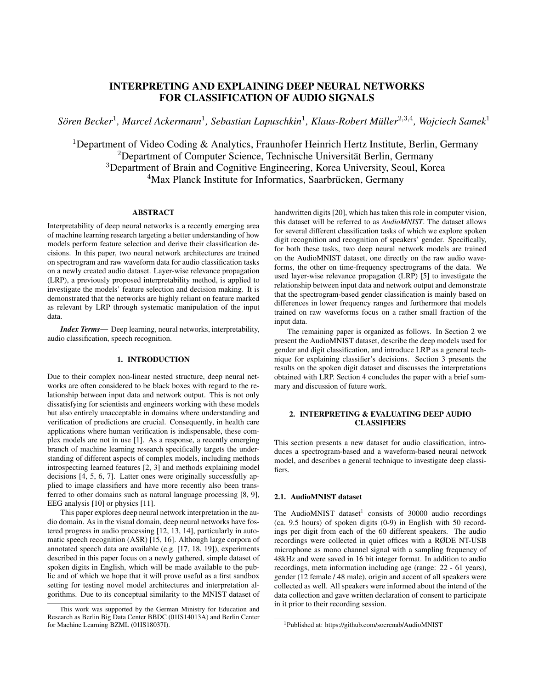# INTERPRETING AND EXPLAINING DEEP NEURAL NETWORKS FOR CLASSIFICATION OF AUDIO SIGNALS

 $S$ ören Becker<sup>1</sup>, Marcel Ackermann<sup>1</sup>, Sebastian Lapuschkin<sup>1</sup>, Klaus-Robert Müller<sup>2,3,4</sup>, Wojciech Samek<sup>1</sup>

<sup>1</sup>Department of Video Coding & Analytics, Fraunhofer Heinrich Hertz Institute, Berlin, Germany <sup>2</sup>Department of Computer Science, Technische Universität Berlin, Germany <sup>3</sup>Department of Brain and Cognitive Engineering, Korea University, Seoul, Korea <sup>4</sup>Max Planck Institute for Informatics, Saarbrücken, Germany

# ABSTRACT

Interpretability of deep neural networks is a recently emerging area of machine learning research targeting a better understanding of how models perform feature selection and derive their classification decisions. In this paper, two neural network architectures are trained on spectrogram and raw waveform data for audio classification tasks on a newly created audio dataset. Layer-wise relevance propagation (LRP), a previously proposed interpretability method, is applied to investigate the models' feature selection and decision making. It is demonstrated that the networks are highly reliant on feature marked as relevant by LRP through systematic manipulation of the input data.

*Index Terms*— Deep learning, neural networks, interpretability, audio classification, speech recognition.

# 1. INTRODUCTION

Due to their complex non-linear nested structure, deep neural networks are often considered to be black boxes with regard to the relationship between input data and network output. This is not only dissatisfying for scientists and engineers working with these models but also entirely unacceptable in domains where understanding and verification of predictions are crucial. Consequently, in health care applications where human verification is indispensable, these complex models are not in use [1]. As a response, a recently emerging branch of machine learning research specifically targets the understanding of different aspects of complex models, including methods introspecting learned features [2, 3] and methods explaining model decisions [4, 5, 6, 7]. Latter ones were originally successfully applied to image classifiers and have more recently also been transferred to other domains such as natural language processing [8, 9], EEG analysis [10] or physics [11].

This paper explores deep neural network interpretation in the audio domain. As in the visual domain, deep neural networks have fostered progress in audio processing [12, 13, 14], particularly in automatic speech recognition (ASR) [15, 16]. Although large corpora of annotated speech data are available (e.g. [17, 18, 19]), experiments described in this paper focus on a newly gathered, simple dataset of spoken digits in English, which will be made available to the public and of which we hope that it will prove useful as a first sandbox setting for testing novel model architectures and interpretation algorithms. Due to its conceptual similarity to the MNIST dataset of handwritten digits [20], which has taken this role in computer vision, this dataset will be referred to as *AudioMNIST*. The dataset allows for several different classification tasks of which we explore spoken digit recognition and recognition of speakers' gender. Specifically, for both these tasks, two deep neural network models are trained on the AudioMNIST dataset, one directly on the raw audio waveforms, the other on time-frequency spectrograms of the data. We used layer-wise relevance propagation (LRP) [5] to investigate the relationship between input data and network output and demonstrate that the spectrogram-based gender classification is mainly based on differences in lower frequency ranges and furthermore that models trained on raw waveforms focus on a rather small fraction of the input data.

The remaining paper is organized as follows. In Section 2 we present the AudioMNIST dataset, describe the deep models used for gender and digit classification, and introduce LRP as a general technique for explaining classifier's decisions. Section 3 presents the results on the spoken digit dataset and discusses the interpretations obtained with LRP. Section 4 concludes the paper with a brief summary and discussion of future work.

# 2. INTERPRETING & EVALUATING DEEP AUDIO **CLASSIFIERS**

This section presents a new dataset for audio classification, introduces a spectrogram-based and a waveform-based neural network model, and describes a general technique to investigate deep classifiers.

# 2.1. AudioMNIST dataset

The AudioMNIST dataset<sup>1</sup> consists of 30000 audio recordings (ca. 9.5 hours) of spoken digits (0-9) in English with 50 recordings per digit from each of the 60 different speakers. The audio recordings were collected in quiet offices with a RØDE NT-USB microphone as mono channel signal with a sampling frequency of 48kHz and were saved in 16 bit integer format. In addition to audio recordings, meta information including age (range: 22 - 61 years), gender (12 female / 48 male), origin and accent of all speakers were collected as well. All speakers were informed about the intend of the data collection and gave written declaration of consent to participate in it prior to their recording session.

This work was supported by the German Ministry for Education and Research as Berlin Big Data Center BBDC (01IS14013A) and Berlin Center for Machine Learning BZML (01IS18037I).

<sup>1</sup>Published at: https://github.com/soerenab/AudioMNIST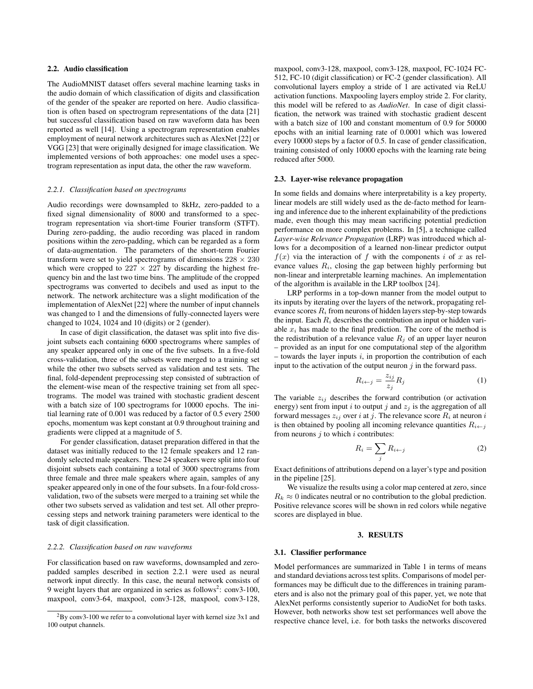## 2.2. Audio classification

The AudioMNIST dataset offers several machine learning tasks in the audio domain of which classification of digits and classification of the gender of the speaker are reported on here. Audio classification is often based on spectrogram representations of the data [21] but successful classification based on raw waveform data has been reported as well [14]. Using a spectrogram representation enables employment of neural network architectures such as AlexNet [22] or VGG [23] that were originally designed for image classification. We implemented versions of both approaches: one model uses a spectrogram representation as input data, the other the raw waveform.

#### *2.2.1. Classification based on spectrograms*

Audio recordings were downsampled to 8kHz, zero-padded to a fixed signal dimensionality of 8000 and transformed to a spectrogram representation via short-time Fourier transform (STFT). During zero-padding, the audio recording was placed in random positions within the zero-padding, which can be regarded as a form of data-augmentation. The parameters of the short-term Fourier transform were set to yield spectrograms of dimensions  $228 \times 230$ which were cropped to  $227 \times 227$  by discarding the highest frequency bin and the last two time bins. The amplitude of the cropped spectrograms was converted to decibels and used as input to the network. The network architecture was a slight modification of the implementation of AlexNet [22] where the number of input channels was changed to 1 and the dimensions of fully-connected layers were changed to 1024, 1024 and 10 (digits) or 2 (gender).

In case of digit classification, the dataset was split into five disjoint subsets each containing 6000 spectrograms where samples of any speaker appeared only in one of the five subsets. In a five-fold cross-validation, three of the subsets were merged to a training set while the other two subsets served as validation and test sets. The final, fold-dependent preprocessing step consisted of subtraction of the element-wise mean of the respective training set from all spectrograms. The model was trained with stochastic gradient descent with a batch size of 100 spectrograms for 10000 epochs. The initial learning rate of 0.001 was reduced by a factor of 0.5 every 2500 epochs, momentum was kept constant at 0.9 throughout training and gradients were clipped at a magnitude of 5.

For gender classification, dataset preparation differed in that the dataset was initially reduced to the 12 female speakers and 12 randomly selected male speakers. These 24 speakers were split into four disjoint subsets each containing a total of 3000 spectrograms from three female and three male speakers where again, samples of any speaker appeared only in one of the four subsets. In a four-fold crossvalidation, two of the subsets were merged to a training set while the other two subsets served as validation and test set. All other preprocessing steps and network training parameters were identical to the task of digit classification.

# *2.2.2. Classification based on raw waveforms*

For classification based on raw waveforms, downsampled and zeropadded samples described in section 2.2.1 were used as neural network input directly. In this case, the neural network consists of 9 weight layers that are organized in series as follows<sup>2</sup>: conv3-100, maxpool, conv3-64, maxpool, conv3-128, maxpool, conv3-128,

maxpool, conv3-128, maxpool, conv3-128, maxpool, FC-1024 FC-512, FC-10 (digit classification) or FC-2 (gender classification). All convolutional layers employ a stride of 1 are activated via ReLU activation functions. Maxpooling layers employ stride 2. For clarity, this model will be refered to as *AudioNet*. In case of digit classification, the network was trained with stochastic gradient descent with a batch size of 100 and constant momentum of 0.9 for 50000 epochs with an initial learning rate of 0.0001 which was lowered every 10000 steps by a factor of 0.5. In case of gender classification, training consisted of only 10000 epochs with the learning rate being reduced after 5000.

#### 2.3. Layer-wise relevance propagation

In some fields and domains where interpretability is a key property, linear models are still widely used as the de-facto method for learning and inference due to the inherent explainability of the predictions made, even though this may mean sacrificing potential prediction performance on more complex problems. In [5], a technique called *Layer-wise Relevance Propagation* (LRP) was introduced which allows for a decomposition of a learned non-linear predictor output  $f(x)$  via the interaction of f with the components i of x as relevance values  $R_i$ , closing the gap between highly performing but non-linear and interpretable learning machines. An implementation of the algorithm is available in the LRP toolbox [24].

LRP performs in a top-down manner from the model output to its inputs by iterating over the layers of the network, propagating relevance scores  $R_i$  from neurons of hidden layers step-by-step towards the input. Each  $R_i$  describes the contribution an input or hidden variable  $x_i$  has made to the final prediction. The core of the method is the redistribution of a relevance value  $R_i$  of an upper layer neuron – provided as an input for one computational step of the algorithm  $-$  towards the layer inputs i, in proportion the contribution of each input to the activation of the output neuron  $\dot{\gamma}$  in the forward pass.

$$
R_{i \leftarrow j} = \frac{z_{ij}}{z_j} R_j \tag{1}
$$

The variable  $z_{ij}$  describes the forward contribution (or activation energy) sent from input i to output j and  $z_i$  is the aggregation of all forward messages  $z_{ij}$  over i at j. The relevance score  $R_i$  at neuron i is then obtained by pooling all incoming relevance quantities  $R_{i \leftarrow j}$ from neurons  $j$  to which  $i$  contributes:

$$
R_i = \sum_j R_{i \leftarrow j} \tag{2}
$$

Exact definitions of attributions depend on a layer's type and position in the pipeline [25].

We visualize the results using a color map centered at zero, since  $R_k \approx 0$  indicates neutral or no contribution to the global prediction. Positive relevance scores will be shown in red colors while negative scores are displayed in blue.

# 3. RESULTS

#### 3.1. Classifier performance

Model performances are summarized in Table 1 in terms of means and standard deviations across test splits. Comparisons of model performances may be difficult due to the differences in training parameters and is also not the primary goal of this paper, yet, we note that AlexNet performs consistently superior to AudioNet for both tasks. However, both networks show test set performances well above the respective chance level, i.e. for both tasks the networks discovered

<sup>2</sup>By conv3-100 we refer to a convolutional layer with kernel size 3x1 and 100 output channels.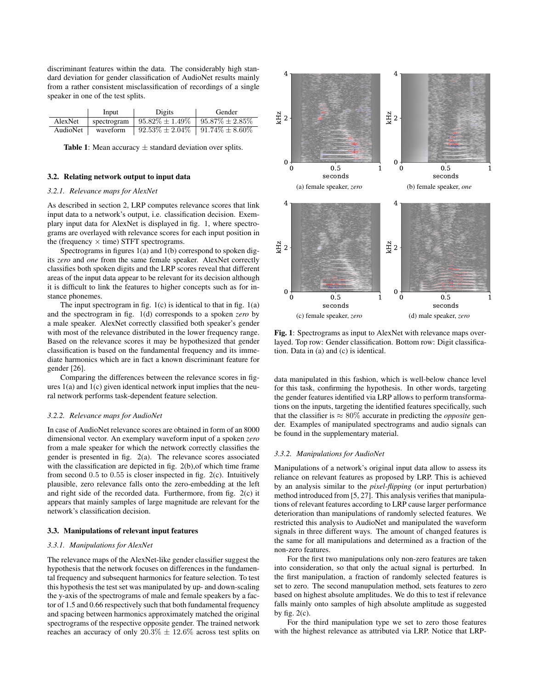discriminant features within the data. The considerably high standard deviation for gender classification of AudioNet results mainly from a rather consistent misclassification of recordings of a single speaker in one of the test splits.

|          | Input    | Digits                                      | Gender               |
|----------|----------|---------------------------------------------|----------------------|
| AlexNet  |          | spectrogram   $95.82\% \pm 1.49\%$          | $95.87\% \pm 2.85\%$ |
| AudioNet | waveform | $92.53\% \pm 2.04\% \pm 91.74\% \pm 8.60\%$ |                      |

**Table 1:** Mean accuracy  $\pm$  standard deviation over splits.

# 3.2. Relating network output to input data

#### *3.2.1. Relevance maps for AlexNet*

As described in section 2, LRP computes relevance scores that link input data to a network's output, i.e. classification decision. Exemplary input data for AlexNet is displayed in fig. 1, where spectrograms are overlayed with relevance scores for each input position in the (frequency  $\times$  time) STFT spectrograms.

Spectrograms in figures 1(a) and 1(b) correspond to spoken digits *zero* and *one* from the same female speaker. AlexNet correctly classifies both spoken digits and the LRP scores reveal that different areas of the input data appear to be relevant for its decision although it is difficult to link the features to higher concepts such as for instance phonemes.

The input spectrogram in fig.  $1(c)$  is identical to that in fig.  $1(a)$ and the spectrogram in fig. 1(d) corresponds to a spoken *zero* by a male speaker. AlexNet correctly classified both speaker's gender with most of the relevance distributed in the lower frequency range. Based on the relevance scores it may be hypothesized that gender classification is based on the fundamental frequency and its immediate harmonics which are in fact a known discriminant feature for gender [26].

Comparing the differences between the relevance scores in figures 1(a) and 1(c) given identical network input implies that the neural network performs task-dependent feature selection.

#### *3.2.2. Relevance maps for AudioNet*

In case of AudioNet relevance scores are obtained in form of an 8000 dimensional vector. An exemplary waveform input of a spoken *zero* from a male speaker for which the network correctly classifies the gender is presented in fig. 2(a). The relevance scores associated with the classification are depicted in fig. 2(b), of which time frame from second 0.5 to 0.55 is closer inspected in fig. 2(c). Intuitively plausible, zero relevance falls onto the zero-embedding at the left and right side of the recorded data. Furthermore, from fig. 2(c) it appears that mainly samples of large magnitude are relevant for the network's classification decision.

# 3.3. Manipulations of relevant input features

#### *3.3.1. Manipulations for AlexNet*

The relevance maps of the AlexNet-like gender classifier suggest the hypothesis that the network focuses on differences in the fundamental frequency and subsequent harmonics for feature selection. To test this hypothesis the test set was manipulated by up- and down-scaling the y-axis of the spectrograms of male and female speakers by a factor of 1.5 and 0.66 respectively such that both fundamental frequency and spacing between harmonics approximately matched the original spectrograms of the respective opposite gender. The trained network reaches an accuracy of only  $20.3\% \pm 12.6\%$  across test splits on



Fig. 1: Spectrograms as input to AlexNet with relevance maps overlayed. Top row: Gender classification. Bottom row: Digit classification. Data in (a) and (c) is identical.

data manipulated in this fashion, which is well-below chance level for this task, confirming the hypothesis. In other words, targeting the gender features identified via LRP allows to perform transformations on the inputs, targeting the identified features specifically, such that the classifier is  $\approx 80\%$  accurate in predicting the *opposite* gender. Examples of manipulated spectrograms and audio signals can be found in the supplementary material.

### *3.3.2. Manipulations for AudioNet*

Manipulations of a network's original input data allow to assess its reliance on relevant features as proposed by LRP. This is achieved by an analysis similar to the *pixel-flipping* (or input perturbation) method introduced from [5, 27]. This analysis verifies that manipulations of relevant features according to LRP cause larger performance deterioration than manipulations of randomly selected features. We restricted this analysis to AudioNet and manipulated the waveform signals in three different ways. The amount of changed features is the same for all manipulations and determined as a fraction of the non-zero features.

For the first two manipulations only non-zero features are taken into consideration, so that only the actual signal is perturbed. In the first manipulation, a fraction of randomly selected features is set to zero. The second manupulation method, sets features to zero based on highest absolute amplitudes. We do this to test if relevance falls mainly onto samples of high absolute amplitude as suggested by fig.  $2(c)$ .

For the third manipulation type we set to zero those features with the highest relevance as attributed via LRP. Notice that LRP-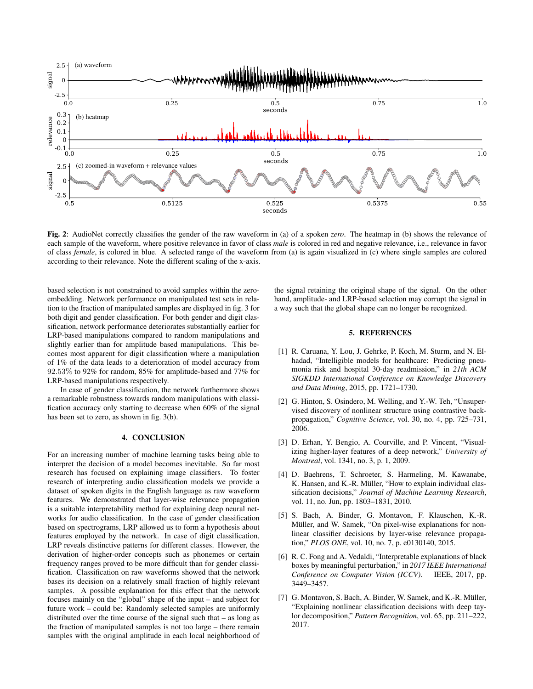

Fig. 2: AudioNet correctly classifies the gender of the raw waveform in (a) of a spoken *zero*. The heatmap in (b) shows the relevance of each sample of the waveform, where positive relevance in favor of class *male* is colored in red and negative relevance, i.e., relevance in favor of class *female*, is colored in blue. A selected range of the waveform from (a) is again visualized in (c) where single samples are colored according to their relevance. Note the different scaling of the x-axis.

based selection is not constrained to avoid samples within the zeroembedding. Network performance on manipulated test sets in relation to the fraction of manipulated samples are displayed in fig. 3 for both digit and gender classification. For both gender and digit classification, network performance deteriorates substantially earlier for LRP-based manipulations compared to random manipulations and slightly earlier than for amplitude based manipulations. This becomes most apparent for digit classification where a manipulation of 1% of the data leads to a deterioration of model accuracy from 92.53% to 92% for random, 85% for amplitude-based and 77% for LRP-based manipulations respectively.

In case of gender classification, the network furthermore shows a remarkable robustness towards random manipulations with classification accuracy only starting to decrease when 60% of the signal has been set to zero, as shown in fig. 3(b).

# 4. CONCLUSION

For an increasing number of machine learning tasks being able to interpret the decision of a model becomes inevitable. So far most research has focused on explaining image classifiers. To foster research of interpreting audio classification models we provide a dataset of spoken digits in the English language as raw waveform features. We demonstrated that layer-wise relevance propagation is a suitable interpretability method for explaining deep neural networks for audio classification. In the case of gender classification based on spectrograms, LRP allowed us to form a hypothesis about features employed by the network. In case of digit classification, LRP reveals distinctive patterns for different classes. However, the derivation of higher-order concepts such as phonemes or certain frequency ranges proved to be more difficult than for gender classification. Classification on raw waveforms showed that the network bases its decision on a relatively small fraction of highly relevant samples. A possible explanation for this effect that the network focuses mainly on the "global" shape of the input – and subject for future work – could be: Randomly selected samples are uniformly distributed over the time course of the signal such that – as long as the fraction of manipulated samples is not too large – there remain samples with the original amplitude in each local neighborhood of the signal retaining the original shape of the signal. On the other hand, amplitude- and LRP-based selection may corrupt the signal in a way such that the global shape can no longer be recognized.

### 5. REFERENCES

- [1] R. Caruana, Y. Lou, J. Gehrke, P. Koch, M. Sturm, and N. Elhadad, "Intelligible models for healthcare: Predicting pneumonia risk and hospital 30-day readmission," in *21th ACM SIGKDD International Conference on Knowledge Discovery and Data Mining*, 2015, pp. 1721–1730.
- [2] G. Hinton, S. Osindero, M. Welling, and Y.-W. Teh, "Unsupervised discovery of nonlinear structure using contrastive backpropagation," *Cognitive Science*, vol. 30, no. 4, pp. 725–731, 2006.
- [3] D. Erhan, Y. Bengio, A. Courville, and P. Vincent, "Visualizing higher-layer features of a deep network," *University of Montreal*, vol. 1341, no. 3, p. 1, 2009.
- [4] D. Baehrens, T. Schroeter, S. Harmeling, M. Kawanabe, K. Hansen, and K.-R. Müller, "How to explain individual classification decisions," *Journal of Machine Learning Research*, vol. 11, no. Jun, pp. 1803–1831, 2010.
- [5] S. Bach, A. Binder, G. Montavon, F. Klauschen, K.-R. Müller, and W. Samek, "On pixel-wise explanations for nonlinear classifier decisions by layer-wise relevance propagation," *PLOS ONE*, vol. 10, no. 7, p. e0130140, 2015.
- [6] R. C. Fong and A. Vedaldi, "Interpretable explanations of black boxes by meaningful perturbation," in *2017 IEEE International Conference on Computer Vision (ICCV)*. IEEE, 2017, pp. 3449–3457.
- [7] G. Montavon, S. Bach, A. Binder, W. Samek, and K.-R. Müller, "Explaining nonlinear classification decisions with deep taylor decomposition," *Pattern Recognition*, vol. 65, pp. 211–222, 2017.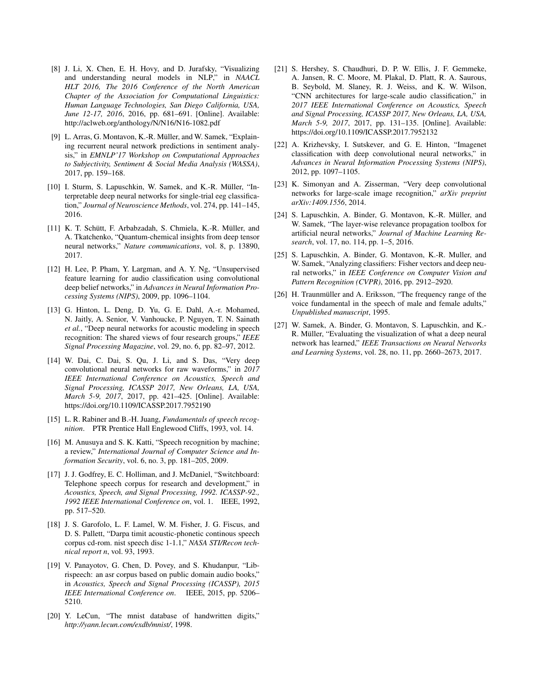- [8] J. Li, X. Chen, E. H. Hovy, and D. Jurafsky, "Visualizing and understanding neural models in NLP," in *NAACL HLT 2016, The 2016 Conference of the North American Chapter of the Association for Computational Linguistics: Human Language Technologies, San Diego California, USA, June 12-17, 2016*, 2016, pp. 681–691. [Online]. Available: http://aclweb.org/anthology/N/N16/N16-1082.pdf
- [9] L. Arras, G. Montavon, K.-R. Müller, and W. Samek, "Explaining recurrent neural network predictions in sentiment analysis," in *EMNLP'17 Workshop on Computational Approaches to Subjectivity, Sentiment & Social Media Analysis (WASSA)*, 2017, pp. 159–168.
- [10] I. Sturm, S. Lapuschkin, W. Samek, and K.-R. Müller, "Interpretable deep neural networks for single-trial eeg classification," *Journal of Neuroscience Methods*, vol. 274, pp. 141–145, 2016.
- [11] K. T. Schütt, F. Arbabzadah, S. Chmiela, K.-R. Müller, and A. Tkatchenko, "Quantum-chemical insights from deep tensor neural networks," *Nature communications*, vol. 8, p. 13890, 2017.
- [12] H. Lee, P. Pham, Y. Largman, and A. Y. Ng, "Unsupervised feature learning for audio classification using convolutional deep belief networks," in *Advances in Neural Information Processing Systems (NIPS)*, 2009, pp. 1096–1104.
- [13] G. Hinton, L. Deng, D. Yu, G. E. Dahl, A.-r. Mohamed, N. Jaitly, A. Senior, V. Vanhoucke, P. Nguyen, T. N. Sainath *et al.*, "Deep neural networks for acoustic modeling in speech recognition: The shared views of four research groups," *IEEE Signal Processing Magazine*, vol. 29, no. 6, pp. 82–97, 2012.
- [14] W. Dai, C. Dai, S. Qu, J. Li, and S. Das, "Very deep convolutional neural networks for raw waveforms," in *2017 IEEE International Conference on Acoustics, Speech and Signal Processing, ICASSP 2017, New Orleans, LA, USA, March 5-9, 2017*, 2017, pp. 421–425. [Online]. Available: https://doi.org/10.1109/ICASSP.2017.7952190
- [15] L. R. Rabiner and B.-H. Juang, *Fundamentals of speech recognition*. PTR Prentice Hall Englewood Cliffs, 1993, vol. 14.
- [16] M. Anusuya and S. K. Katti, "Speech recognition by machine; a review," *International Journal of Computer Science and Information Security*, vol. 6, no. 3, pp. 181–205, 2009.
- [17] J. J. Godfrey, E. C. Holliman, and J. McDaniel, "Switchboard: Telephone speech corpus for research and development," in *Acoustics, Speech, and Signal Processing, 1992. ICASSP-92., 1992 IEEE International Conference on*, vol. 1. IEEE, 1992, pp. 517–520.
- [18] J. S. Garofolo, L. F. Lamel, W. M. Fisher, J. G. Fiscus, and D. S. Pallett, "Darpa timit acoustic-phonetic continous speech corpus cd-rom. nist speech disc 1-1.1," *NASA STI/Recon technical report n*, vol. 93, 1993.
- [19] V. Panayotov, G. Chen, D. Povey, and S. Khudanpur, "Librispeech: an asr corpus based on public domain audio books," in *Acoustics, Speech and Signal Processing (ICASSP), 2015 IEEE International Conference on*. IEEE, 2015, pp. 5206– 5210.
- [20] Y. LeCun, "The mnist database of handwritten digits," *http://yann.lecun.com/exdb/mnist/*, 1998.
- [21] S. Hershey, S. Chaudhuri, D. P. W. Ellis, J. F. Gemmeke, A. Jansen, R. C. Moore, M. Plakal, D. Platt, R. A. Saurous, B. Seybold, M. Slaney, R. J. Weiss, and K. W. Wilson, "CNN architectures for large-scale audio classification," in *2017 IEEE International Conference on Acoustics, Speech and Signal Processing, ICASSP 2017, New Orleans, LA, USA, March 5-9, 2017*, 2017, pp. 131–135. [Online]. Available: https://doi.org/10.1109/ICASSP.2017.7952132
- [22] A. Krizhevsky, I. Sutskever, and G. E. Hinton, "Imagenet classification with deep convolutional neural networks," in *Advances in Neural Information Processing Systems (NIPS)*, 2012, pp. 1097–1105.
- [23] K. Simonyan and A. Zisserman, "Very deep convolutional networks for large-scale image recognition," *arXiv preprint arXiv:1409.1556*, 2014.
- [24] S. Lapuschkin, A. Binder, G. Montavon, K.-R. Müller, and W. Samek, "The layer-wise relevance propagation toolbox for artificial neural networks," *Journal of Machine Learning Research*, vol. 17, no. 114, pp. 1–5, 2016.
- [25] S. Lapuschkin, A. Binder, G. Montavon, K.-R. Muller, and W. Samek, "Analyzing classifiers: Fisher vectors and deep neural networks," in *IEEE Conference on Computer Vision and Pattern Recognition (CVPR)*, 2016, pp. 2912–2920.
- [26] H. Traunmüller and A. Eriksson, "The frequency range of the voice fundamental in the speech of male and female adults," *Unpublished manuscript*, 1995.
- [27] W. Samek, A. Binder, G. Montavon, S. Lapuschkin, and K.- R. Müller, "Evaluating the visualization of what a deep neural network has learned," *IEEE Transactions on Neural Networks and Learning Systems*, vol. 28, no. 11, pp. 2660–2673, 2017.